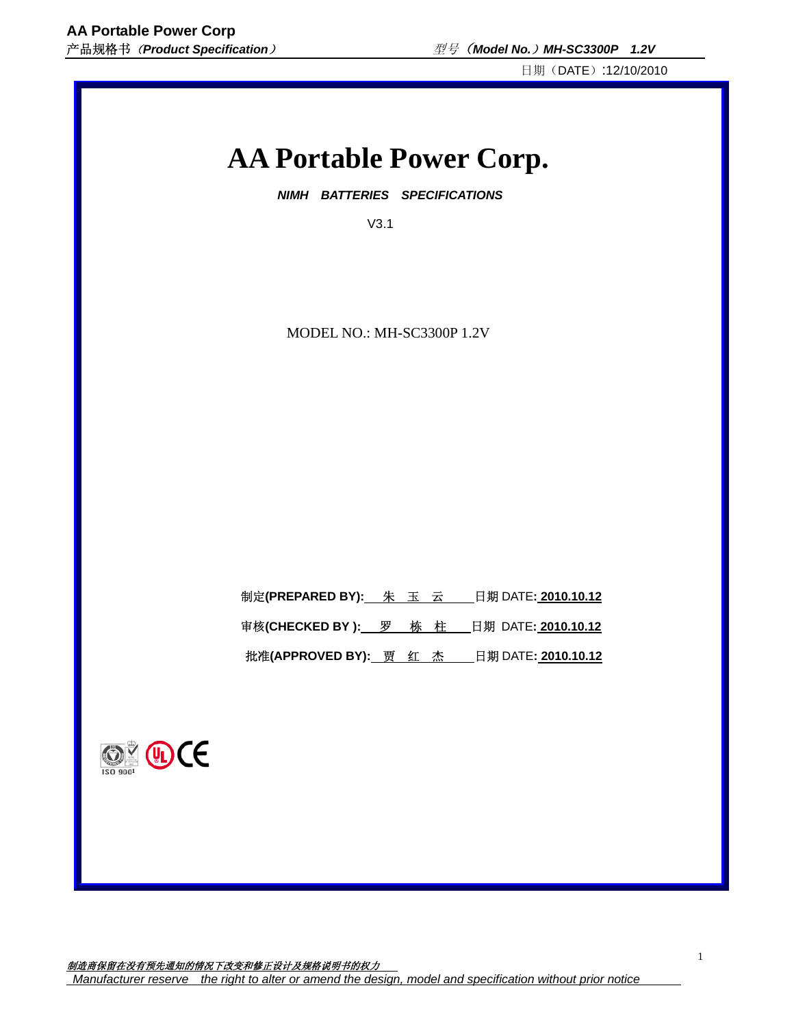日期(DATE):12/10/2010

# **AA Portable Power Corp.**

 *NIMH BATTERIES SPECIFICATIONS* 

V3.1

MODEL NO.: MH-SC3300P 1.2V

| 制定(PREPARED BY): 朱 玉 云 |     | 日期 DATE: <b>2010.10.12</b> |
|------------------------|-----|----------------------------|
| 审核(CHECKED BY ): 罗     | 栋 柱 | 日期 DATE: 2010.10.12        |

批准**(APPROVED BY):** 贾红杰日期 DATE**: 2010.10.12**



制造商保留在没有预先通知的情况下改变和修正设计及规格说明书的权力 *Manufacturer reserve the right to alter or amend the design, model and specification without prior notice*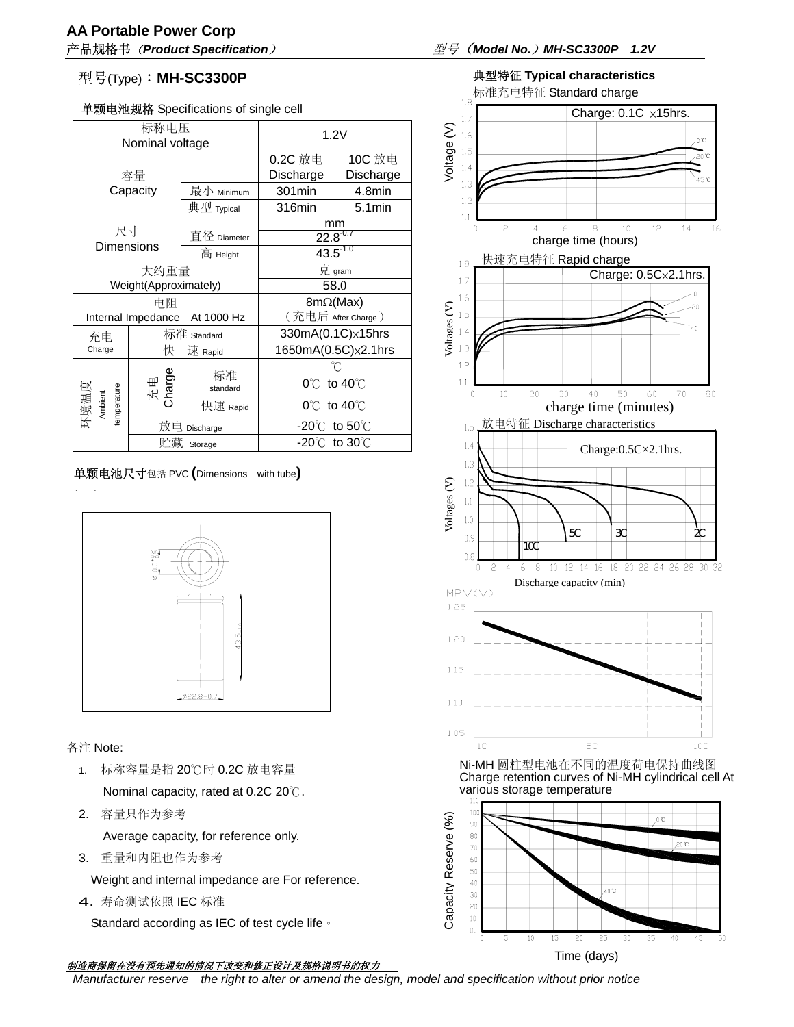## 型号(Type):**MH-SC3300P**

### 单颗电池规格 Specifications of single cell

| 标称电压<br>Nominal voltage          |                   |                    | 1.2V                              |                     |
|----------------------------------|-------------------|--------------------|-----------------------------------|---------------------|
| 容量                               |                   |                    | 0.2C 放电<br>Discharge              | 10C 放电<br>Discharge |
|                                  | Capacity          | 最小 Minimum         | 301min                            | 4.8min              |
|                                  |                   | 典型 Typical         | 316min                            | $5.1$ min           |
|                                  |                   |                    | mm                                |                     |
| 尺寸                               | <b>Dimensions</b> | 直径 Diameter        | $22.8^{0.7}$<br>$43.5^{1.0}$      |                     |
|                                  |                   | 高 Height           |                                   |                     |
| 大约重量                             |                   |                    | 克 gram                            |                     |
| Weight(Approximately)            |                   | 58.0               |                                   |                     |
| 电阻                               |                   |                    | $8m\Omega(Max)$                   |                     |
| Internal Impedance<br>At 1000 Hz |                   | (充电后 After Charge) |                                   |                     |
| 充电                               | 标准 Standard       |                    | 330mA(0.1C)×15hrs                 |                     |
| Charge                           | 快                 | 速 Rapid            | 1650mA(0.5C)×2.1hrs               |                     |
|                                  |                   |                    |                                   |                     |
| 环境温度<br>Ambient<br>temperature   | 充电<br>Charge      | 标准<br>standard     | 0°C<br>to $40^{\circ}$            |                     |
|                                  |                   | 快速 Rapid           | $0^{\circ}$ to $40^{\circ}$ C     |                     |
|                                  | 放电 Discharge      |                    | -20 $\degree$ C to 50 $\degree$ C |                     |
|                                  | 贮藏<br>Storage     |                    | -20 $\degree$ C to 30 $\degree$ C |                     |

单颗电池尺寸包括 PVC **(**Dimensions with tube**)** 



备注 Note:

- 1. 标称容量是指 20℃时 0.2C 放电容量 Nominal capacity, rated at 0.2C 20℃.
- 2. 容量只作为参考

Average capacity, for reference only.

3. 重量和内阻也作为参考

Weight and internal impedance are For reference.

4. 寿命测试依照 IEC 标准

Standard according as IEC of test cycle life。

# 产品规格书(*Product Specification*)型号(*Model No.*)*MH-SC3300P 1.2V*



Time (days)

 $00\,$ 

 $\overline{0}$ 5  $\overline{10}$ 

15  $20\,$ 25 30 35  $40$ 45 50

制造商保留在没有预先通知的情况下改变和修正设计及规格说明书的权力

 *Manufacturer reserve the right to alter or amend the design, model and specification without prior notice*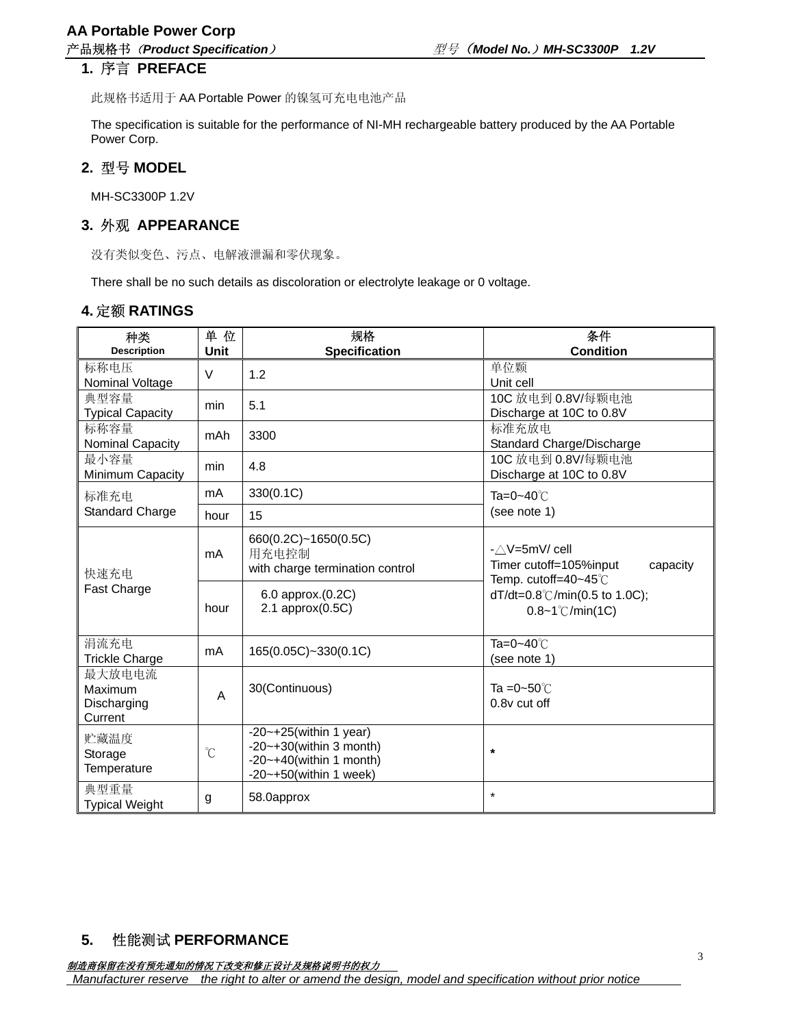### **1.** 序言 **PREFACE**

此规格书适用于 AA Portable Power 的镍氢可充电电池产品

The specification is suitable for the performance of NI-MH rechargeable battery produced by the AA Portable Power Corp.

### **2.** 型号 **MODEL**

MH-SC3300P 1.2V

### **3.** 外观 **APPEARANCE**

没有类似变色、污点、电解液泄漏和零伏现象。

There shall be no such details as discoloration or electrolyte leakage or 0 voltage.

### **4.**定额 **RATINGS**

| 种类<br><b>Description</b>                    | 单位<br><b>Unit</b>    | 规格<br><b>Specification</b>                                                                                                         | 条件<br><b>Condition</b>                                                                 |  |
|---------------------------------------------|----------------------|------------------------------------------------------------------------------------------------------------------------------------|----------------------------------------------------------------------------------------|--|
|                                             |                      |                                                                                                                                    |                                                                                        |  |
| 标称电压<br>Nominal Voltage                     | V                    | 1.2                                                                                                                                | 单位颗<br>Unit cell                                                                       |  |
| 典型容量<br><b>Typical Capacity</b>             | min                  | 5.1                                                                                                                                | 10C 放电到 0.8V/每颗电池<br>Discharge at 10C to 0.8V                                          |  |
| 标称容量<br>Nominal Capacity                    | mAh                  | 3300                                                                                                                               | 标准充放电<br>Standard Charge/Discharge                                                     |  |
| 最小容量<br>Minimum Capacity                    | min                  | 4.8                                                                                                                                | 10C 放电到 0.8V/每颗电池<br>Discharge at 10C to 0.8V                                          |  |
| 标准充电                                        | mA                   | 330(0.1C)                                                                                                                          | Ta=0~40℃                                                                               |  |
| <b>Standard Charge</b>                      | hour                 | 15                                                                                                                                 | (see note 1)                                                                           |  |
| 快速充电<br><b>Fast Charge</b>                  | mA                   | 660(0.2C)~1650(0.5C)<br>用充电控制<br>with charge termination control                                                                   | $-\triangle V = 5mV/cell$<br>Timer cutoff=105%input<br>capacity<br>Temp. cutoff=40~45℃ |  |
|                                             | hour                 | 6.0 approx.(0.2C)<br>$2.1$ approx $(0.5C)$                                                                                         | dT/dt=0.8°C/min(0.5 to 1.0C);<br>$0.8 - 1^{\circ}$ C/min(1C)                           |  |
| 涓流充电<br><b>Trickle Charge</b>               | mA                   | 165(0.05C)~330(0.1C)                                                                                                               | Ta=0~40℃<br>(see note 1)                                                               |  |
| 最大放电电流<br>Maximum<br>Discharging<br>Current | A                    | 30(Continuous)                                                                                                                     | Ta = $0$ ~50 $°C$<br>0.8y cut off                                                      |  |
| 贮藏温度<br>Storage<br>Temperature              | $\mathrm{C}^{\circ}$ | $-20$ ~ $+25$ (within 1 year)<br>$-20$ ~ $+30$ (within 3 month)<br>$-20$ ~ $+40$ (within 1 month)<br>$-20$ ~ $+50$ (within 1 week) | $\star$                                                                                |  |
| 典型重量<br><b>Typical Weight</b>               | g                    | 58.0approx                                                                                                                         | $\star$                                                                                |  |

### **5.** 性能测试 **PERFORMANCE**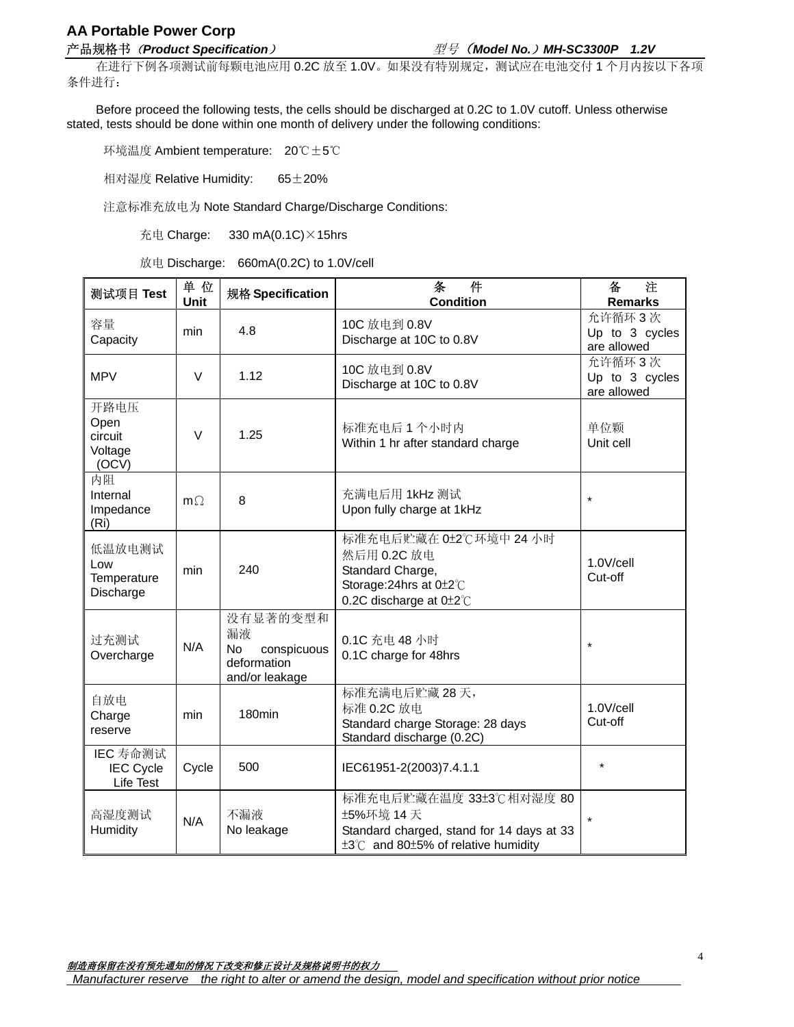# **AA Portable Power Corp**

### 产品规格书(*Product Specification*)型号(*Model No.*)*MH-SC3300P 1.2V*

在进行下例各项测试前每颗电池应用 0.2C 放至 1.0V。如果没有特别规定,测试应在电池交付 1 个月内按以下各项 条件进行:

Before proceed the following tests, the cells should be discharged at 0.2C to 1.0V cutoff. Unless otherwise stated, tests should be done within one month of delivery under the following conditions:

环境温度 Ambient temperature: 20℃±5℃

相对湿度 Relative Humidity: 65±20%

注意标准充放电为 Note Standard Charge/Discharge Conditions:

充电 Charge: 330 mA(0.1C) $\times$ 15hrs

放电 Discharge: 660mA(0.2C) to 1.0V/cell

| 测试项目 Test                                   | 单位<br><b>Unit</b> | 规格 Specification                                                            | 件<br>条<br><b>Condition</b>                                                                                                              | 备<br>注<br><b>Remarks</b>                |
|---------------------------------------------|-------------------|-----------------------------------------------------------------------------|-----------------------------------------------------------------------------------------------------------------------------------------|-----------------------------------------|
| 容量<br>Capacity                              | min               | 4.8                                                                         | 10C 放电到 0.8V<br>Discharge at 10C to 0.8V                                                                                                | 允许循环3次<br>Up to 3 cycles<br>are allowed |
| <b>MPV</b>                                  | $\vee$            | 1.12                                                                        | 10C 放电到 0.8V<br>Discharge at 10C to 0.8V                                                                                                | 允许循环3次<br>Up to 3 cycles<br>are allowed |
| 开路电压<br>Open<br>circuit<br>Voltage<br>(OCV) | V                 | 1.25                                                                        | 标准充电后 1 个小时内<br>Within 1 hr after standard charge                                                                                       | 单位颗<br>Unit cell                        |
| 内阻<br>Internal<br>Impedance<br>(Ri)         | $m\Omega$         | 8                                                                           | 充满电后用 1kHz 测试<br>Upon fully charge at 1kHz                                                                                              | $\star$                                 |
| 低温放电测试<br>Low<br>Temperature<br>Discharge   | min               | 240                                                                         | 标准充电后贮藏在 0±2℃环境中 24 小时<br>然后用 0.2C 放电<br>Standard Charge,<br>Storage: 24hrs at 0±2°C<br>0.2C discharge at 0±2°C                         | 1.0V/cell<br>Cut-off                    |
| 过充测试<br>Overcharge                          | N/A               | 没有显著的变型和<br>漏液<br>conspicuous<br><b>No</b><br>deformation<br>and/or leakage | 0.1C 充电 48 小时<br>0.1C charge for 48hrs                                                                                                  | $\star$                                 |
| 自放电<br>Charge<br>reserve                    | min               | 180 <sub>min</sub>                                                          | 标准充满电后贮藏 28 天,<br>标准 0.2C 放电<br>Standard charge Storage: 28 days<br>Standard discharge (0.2C)                                           | 1.0V/cell<br>Cut-off                    |
| IEC 寿命测试<br><b>IEC Cycle</b><br>Life Test   | Cycle             | 500                                                                         | IEC61951-2(2003)7.4.1.1                                                                                                                 | $\star$                                 |
| 高湿度测试<br>Humidity                           | N/A               | 不漏液<br>No leakage                                                           | 标准充电后贮藏在温度 33±3℃相对湿度 80<br>±5%环境 14 天<br>Standard charged, stand for 14 days at 33<br>$±3^{\circ}$ C and 80 $±5\%$ of relative humidity |                                         |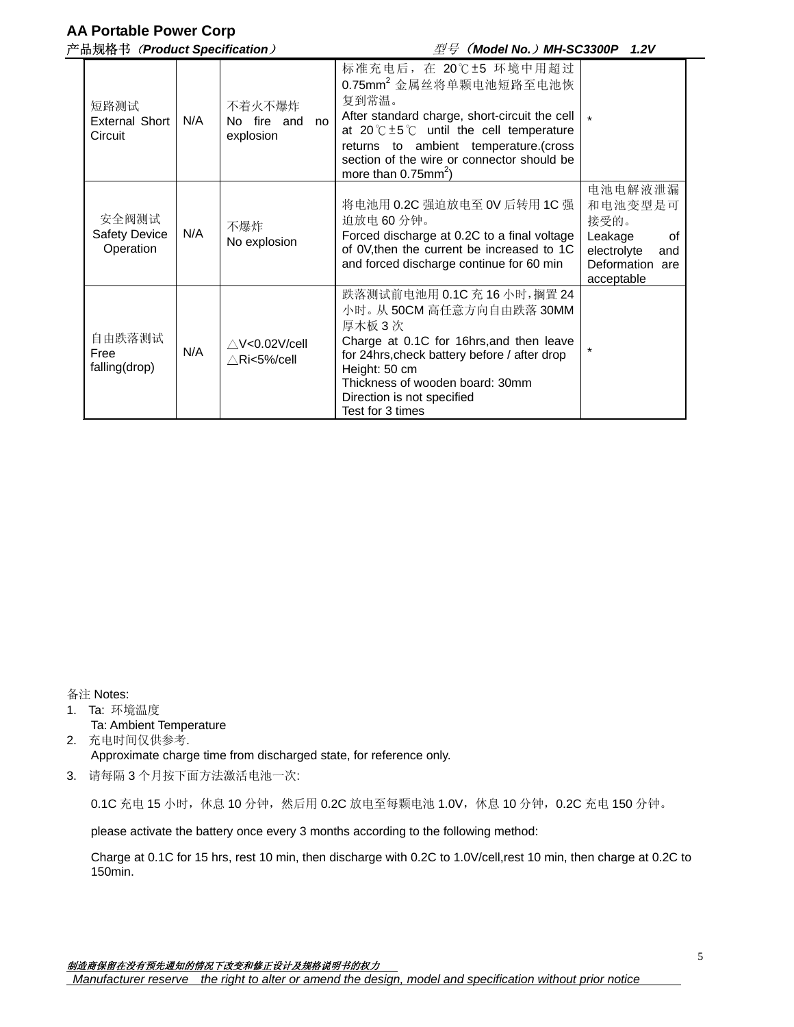# **AA Portable Power Corp**

产品规格书(*Product Specification*)型号(*Model No.*)*MH-SC3300P 1.2V*

| 短路测试<br>External Short<br>Circuit          | N/A | 不着火不爆炸<br>No fire and<br>no<br>explosion        | 标准充电后, 在 20℃±5 环境中用超过<br>0.75mm <sup>2</sup> 金属丝将单颗电池短路至电池恢<br>复到常温。<br>After standard charge, short-circuit the cell<br>at $20^{\circ}$ C $\pm 5^{\circ}$ until the cell temperature<br>returns to ambient temperature.(cross<br>section of the wire or connector should be<br>more than $0.75$ mm <sup>2</sup> ) |                                                                                                    |
|--------------------------------------------|-----|-------------------------------------------------|--------------------------------------------------------------------------------------------------------------------------------------------------------------------------------------------------------------------------------------------------------------------------------------------------------------------|----------------------------------------------------------------------------------------------------|
| 安全阀测试<br><b>Safety Device</b><br>Operation | N/A | 不爆炸<br>No explosion                             | 将电池用 0.2C 强迫放电至 OV 后转用 1C 强<br>迫放电 60 分钟。<br>Forced discharge at 0.2C to a final voltage<br>of 0V, then the current be increased to 1C<br>and forced discharge continue for 60 min                                                                                                                                 | 电池电解液泄漏<br>和电池变型是可<br>接受的。<br>Leakage<br>of<br>electrolyte<br>and<br>Deformation are<br>acceptable |
| 自由跌落测试<br>Free<br>falling(drop)            | N/A | $\triangle$ V<0.02V/cell<br>$\wedge$ Ri<5%/cell | 跌落测试前电池用 0.1C 充 16 小时, 搁置 24<br>小时。从50CM 高任意方向自由跌落 30MM<br>厚木板 3次<br>Charge at 0.1C for 16hrs, and then leave<br>for 24hrs, check battery before / after drop<br>Height: 50 cm<br>Thickness of wooden board: 30mm<br>Direction is not specified<br>Test for 3 times                                                |                                                                                                    |

备注 Notes:

- 1. Ta: 环境温度
- Ta: Ambient Temperature
- 2. 充电时间仅供参考. Approximate charge time from discharged state, for reference only.
- 3. 请每隔 3 个月按下面方法激活电池一次:

0.1C 充电 15 小时, 休息 10 分钟, 然后用 0.2C 放电至每颗电池 1.0V, 休息 10 分钟, 0.2C 充电 150 分钟。

please activate the battery once every 3 months according to the following method:

Charge at 0.1C for 15 hrs, rest 10 min, then discharge with 0.2C to 1.0V/cell,rest 10 min, then charge at 0.2C to 150min.

 *Manufacturer reserve the right to alter or amend the design, model and specification without prior notice*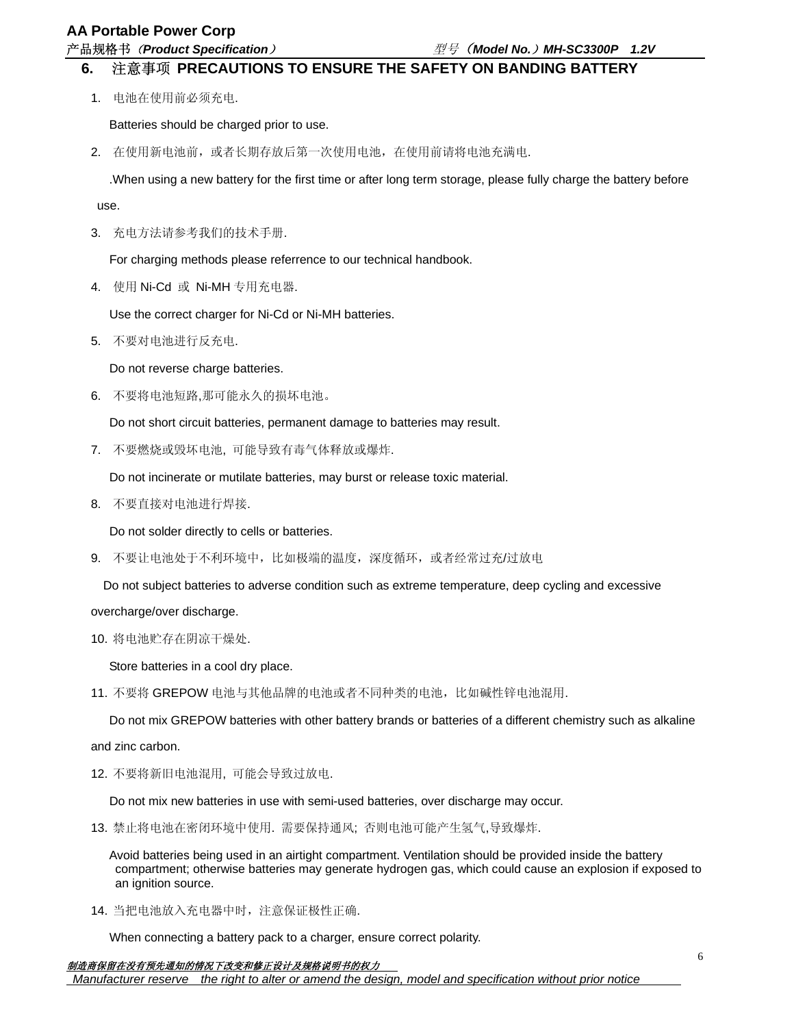### **AA Portable Power Corp**

产品规格书(*Product Specification*)型号(*Model No.*)*MH-SC3300P 1.2V*

## **6.** 注意事项 **PRECAUTIONS TO ENSURE THE SAFETY ON BANDING BATTERY**

1. 电池在使用前必须充电.

Batteries should be charged prior to use.

2. 在使用新电池前,或者长期存放后第一次使用电池,在使用前请将电池充满电.

.When using a new battery for the first time or after long term storage, please fully charge the battery before

use.

3. 充电方法请参考我们的技术手册.

For charging methods please referrence to our technical handbook.

4. 使用 Ni-Cd 或 Ni-MH 专用充电器.

Use the correct charger for Ni-Cd or Ni-MH batteries.

5. 不要对电池进行反充电.

Do not reverse charge batteries.

6. 不要将电池短路,那可能永久的损坏电池。

Do not short circuit batteries, permanent damage to batteries may result.

7. 不要燃烧或毁坏电池, 可能导致有毒气体释放或爆炸.

Do not incinerate or mutilate batteries, may burst or release toxic material.

8. 不要直接对电池进行焊接.

Do not solder directly to cells or batteries.

9. 不要让电池处于不利环境中,比如极端的温度,深度循环,或者经常过充/过放电

Do not subject batteries to adverse condition such as extreme temperature, deep cycling and excessive

### overcharge/over discharge.

10. 将电池贮存在阴凉干燥处.

Store batteries in a cool dry place.

11. 不要将 GREPOW 电池与其他品牌的电池或者不同种类的电池,比如碱性锌电池混用.

Do not mix GREPOW batteries with other battery brands or batteries of a different chemistry such as alkaline

and zinc carbon.

12. 不要将新旧电池混用, 可能会导致过放电.

Do not mix new batteries in use with semi-used batteries, over discharge may occur.

13. 禁止将电池在密闭环境中使用. 需要保持通风; 否则电池可能产生氢气,导致爆炸.

 Avoid batteries being used in an airtight compartment. Ventilation should be provided inside the battery compartment; otherwise batteries may generate hydrogen gas, which could cause an explosion if exposed to an ignition source.

14. 当把电池放入充电器中时,注意保证极性正确.

When connecting a battery pack to a charger, ensure correct polarity.

### 制造商保留在没有预先通知的情况下改变和修正设计及规格说明书的权力

 *Manufacturer reserve the right to alter or amend the design, model and specification without prior notice*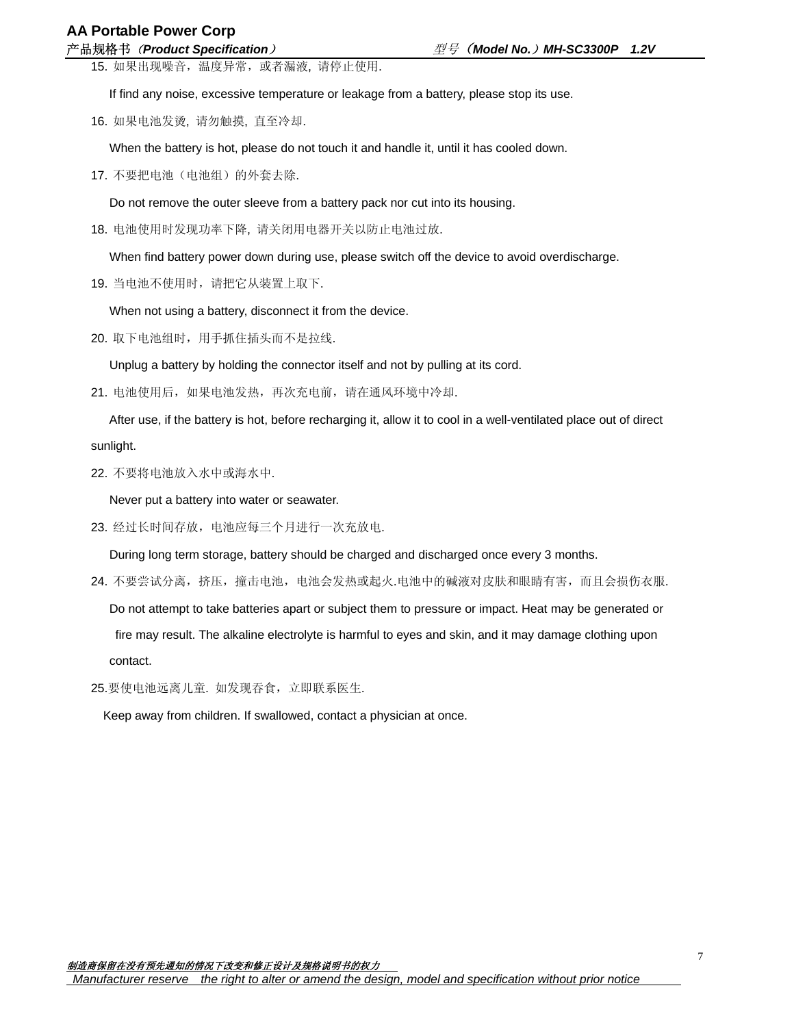15. 如果出现噪音,温度异常,或者漏液, 请停止使用.

If find any noise, excessive temperature or leakage from a battery, please stop its use.

16. 如果电池发烫, 请勿触摸, 直至冷却.

When the battery is hot, please do not touch it and handle it, until it has cooled down.

17. 不要把电池(电池组)的外套去除.

Do not remove the outer sleeve from a battery pack nor cut into its housing.

18. 电池使用时发现功率下降, 请关闭用电器开关以防止电池过放.

When find battery power down during use, please switch off the device to avoid overdischarge.

19. 当电池不使用时,请把它从装置上取下.

When not using a battery, disconnect it from the device.

20. 取下电池组时,用手抓住插头而不是拉线.

Unplug a battery by holding the connector itself and not by pulling at its cord.

21. 电池使用后,如果电池发热,再次充电前,请在通风环境中冷却.

 After use, if the battery is hot, before recharging it, allow it to cool in a well-ventilated place out of direct sunlight.

22. 不要将电池放入水中或海水中.

Never put a battery into water or seawater.

23. 经过长时间存放,电池应每三个月进行一次充放电.

During long term storage, battery should be charged and discharged once every 3 months.

24. 不要尝试分离, 挤压, 撞击电池, 电池会发热或起火.电池中的碱液对皮肤和眼睛有害, 而且会损伤衣服.

 Do not attempt to take batteries apart or subject them to pressure or impact. Heat may be generated or fire may result. The alkaline electrolyte is harmful to eyes and skin, and it may damage clothing upon contact.

25.要使电池远离儿童. 如发现吞食,立即联系医生.

Keep away from children. If swallowed, contact a physician at once.